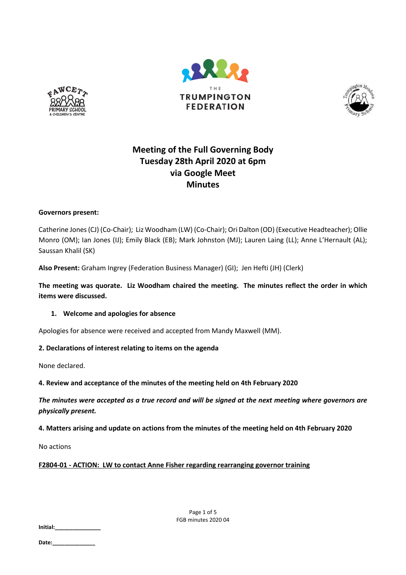





# **Meeting of the Full Governing Body Tuesday 28th April 2020 at 6pm via Google Meet Minutes**

## **Governors present:**

Catherine Jones (CJ) (Co-Chair); Liz Woodham (LW) (Co-Chair); Ori Dalton (OD) (Executive Headteacher); Ollie Monro (OM); Ian Jones (IJ); Emily Black (EB); Mark Johnston (MJ); Lauren Laing (LL); Anne L'Hernault (AL); Saussan Khalil (SK)

**Also Present:** Graham Ingrey (Federation Business Manager) (GI); Jen Hefti (JH) (Clerk)

**The meeting was quorate. Liz Woodham chaired the meeting. The minutes reflect the order in which items were discussed.**

# **1. Welcome and apologies for absence**

Apologies for absence were received and accepted from Mandy Maxwell (MM).

# **2. Declarations of interest relating to items on the agenda**

None declared.

**4. Review and acceptance of the minutes of the meeting held on 4th February 2020**

*The minutes were accepted as a true record and will be signed at the next meeting where governors are physically present.*

# **4. Matters arising and update on actions from the minutes of the meeting held on 4th February 2020**

No actions

# **F2804-01 - ACTION: LW to contact Anne Fisher regarding rearranging governor training**

Page 1 of 5 FGB minutes 2020 04

**Initial:\_\_\_\_\_\_\_\_\_\_\_\_\_\_\_**

**Date:\_\_\_\_\_\_\_\_\_\_\_\_\_\_**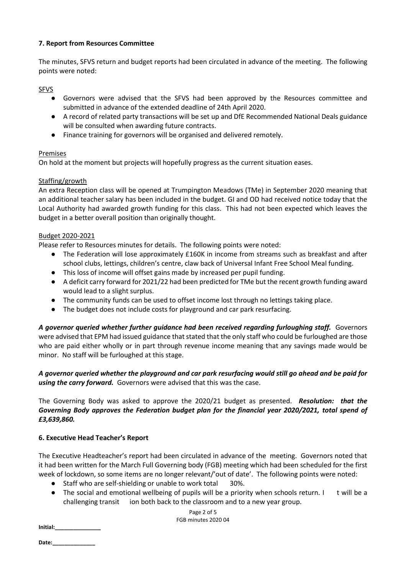## **7. Report from Resources Committee**

The minutes, SFVS return and budget reports had been circulated in advance of the meeting. The following points were noted:

SFVS

- Governors were advised that the SFVS had been approved by the Resources committee and submitted in advance of the extended deadline of 24th April 2020.
- A record of related party transactions will be set up and DfE Recommended National Deals guidance will be consulted when awarding future contracts.
- Finance training for governors will be organised and delivered remotely.

## Premises

On hold at the moment but projects will hopefully progress as the current situation eases.

## Staffing/growth

An extra Reception class will be opened at Trumpington Meadows (TMe) in September 2020 meaning that an additional teacher salary has been included in the budget. GI and OD had received notice today that the Local Authority had awarded growth funding for this class. This had not been expected which leaves the budget in a better overall position than originally thought.

#### Budget 2020-2021

Please refer to Resources minutes for details. The following points were noted:

- The Federation will lose approximately £160K in income from streams such as breakfast and after school clubs, lettings, children's centre, claw back of Universal Infant Free School Meal funding.
- This loss of income will offset gains made by increased per pupil funding.
- A deficit carry forward for 2021/22 had been predicted for TMe but the recent growth funding award would lead to a slight surplus.
- The community funds can be used to offset income lost through no lettings taking place.
- The budget does not include costs for playground and car park resurfacing.

*A governor queried whether further guidance had been received regarding furloughing staff.* Governors were advised that EPM had issued guidance that stated that the only staff who could be furloughed are those who are paid either wholly or in part through revenue income meaning that any savings made would be minor. No staff will be furloughed at this stage.

*A governor queried whether the playground and car park resurfacing would still go ahead and be paid for using the carry forward.* Governors were advised that this was the case.

The Governing Body was asked to approve the 2020/21 budget as presented. *Resolution: that the Governing Body approves the Federation budget plan for the financial year 2020/2021, total spend of £3,639,860.*

#### **6. Executive Head Teacher's Report**

The Executive Headteacher's report had been circulated in advance of the meeting. Governors noted that it had been written for the March Full Governing body (FGB) meeting which had been scheduled for the first week of lockdown, so some items are no longer relevant/'out of date'. The following points were noted:

- Staff who are self-shielding or unable to work total 30%.
- The social and emotional wellbeing of pupils will be a priority when schools return. I t will be a challenging transit ion both back to the classroom and to a new year group.

**Initial:\_\_\_\_\_\_\_\_\_\_\_\_\_\_\_**

Date: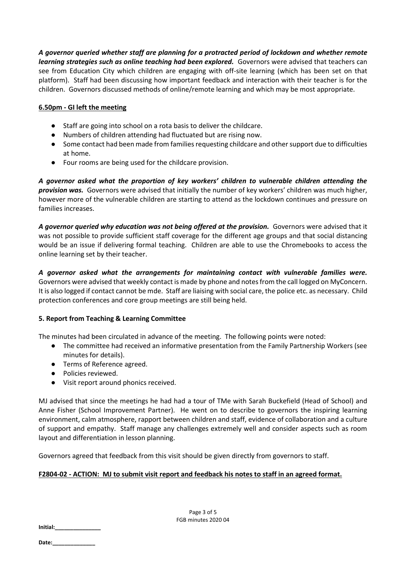*A governor queried whether staff are planning for a protracted period of lockdown and whether remote learning strategies such as online teaching had been explored.* Governors were advised that teachers can see from Education City which children are engaging with off-site learning (which has been set on that platform). Staff had been discussing how important feedback and interaction with their teacher is for the children. Governors discussed methods of online/remote learning and which may be most appropriate.

## **6.50pm - GI left the meeting**

- Staff are going into school on a rota basis to deliver the childcare.
- Numbers of children attending had fluctuated but are rising now.
- Some contact had been made from families requesting childcare and other support due to difficulties at home.
- Four rooms are being used for the childcare provision.

*A governor asked what the proportion of key workers' children to vulnerable children attending the provision was.* Governors were advised that initially the number of key workers' children was much higher, however more of the vulnerable children are starting to attend as the lockdown continues and pressure on families increases.

*A governor queried why education was not being offered at the provision.* Governors were advised that it was not possible to provide sufficient staff coverage for the different age groups and that social distancing would be an issue if delivering formal teaching. Children are able to use the Chromebooks to access the online learning set by their teacher.

*A governor asked what the arrangements for maintaining contact with vulnerable families were.*  Governors were advised that weekly contact is made by phone and notes from the call logged on MyConcern. It is also logged if contact cannot be mde. Staff are liaising with social care, the police etc. as necessary. Child protection conferences and core group meetings are still being held.

# **5. Report from Teaching & Learning Committee**

The minutes had been circulated in advance of the meeting. The following points were noted:

- The committee had received an informative presentation from the Family Partnership Workers (see minutes for details).
- Terms of Reference agreed.
- Policies reviewed.
- Visit report around phonics received.

MJ advised that since the meetings he had had a tour of TMe with Sarah Buckefield (Head of School) and Anne Fisher (School Improvement Partner). He went on to describe to governors the inspiring learning environment, calm atmosphere, rapport between children and staff, evidence of collaboration and a culture of support and empathy. Staff manage any challenges extremely well and consider aspects such as room layout and differentiation in lesson planning.

Governors agreed that feedback from this visit should be given directly from governors to staff.

# **F2804-02 - ACTION: MJ to submit visit report and feedback his notes to staff in an agreed format.**

Page 3 of 5 FGB minutes 2020 04

**Initial:\_\_\_\_\_\_\_\_\_\_\_\_\_\_\_**

**Date:\_\_\_\_\_\_\_\_\_\_\_\_\_\_**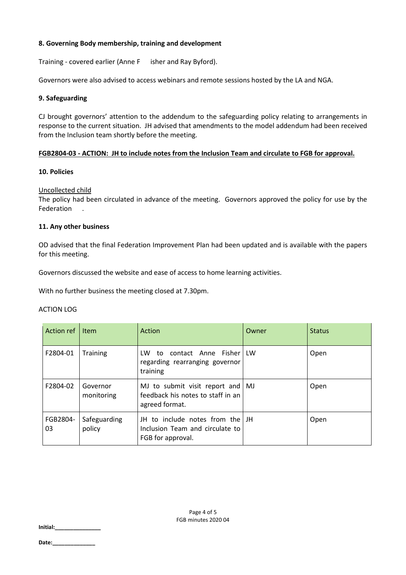## **8. Governing Body membership, training and development**

Training - covered earlier (Anne F isher and Ray Byford).

Governors were also advised to access webinars and remote sessions hosted by the LA and NGA.

#### **9. Safeguarding**

CJ brought governors' attention to the addendum to the safeguarding policy relating to arrangements in response to the current situation. JH advised that amendments to the model addendum had been received from the Inclusion team shortly before the meeting.

## **FGB2804-03 - ACTION: JH to include notes from the Inclusion Team and circulate to FGB for approval.**

#### **10. Policies**

## Uncollected child

The policy had been circulated in advance of the meeting. Governors approved the policy for use by the Federation .

## **11. Any other business**

OD advised that the final Federation Improvement Plan had been updated and is available with the papers for this meeting.

Governors discussed the website and ease of access to home learning activities.

With no further business the meeting closed at 7.30pm.

#### ACTION LOG

| Action ref     | Item                   | <b>Action</b>                                                                            | Owner | <b>Status</b> |
|----------------|------------------------|------------------------------------------------------------------------------------------|-------|---------------|
| F2804-01       | <b>Training</b>        | contact Anne Fisher LW<br>LW<br>to<br>regarding rearranging governor<br>training         |       | Open          |
| F2804-02       | Governor<br>monitoring | MJ to submit visit report and MJ<br>feedback his notes to staff in an<br>agreed format.  |       | Open          |
| FGB2804-<br>03 | Safeguarding<br>policy | JH to include notes from the LJH<br>Inclusion Team and circulate to<br>FGB for approval. |       | Open          |

**Initial:\_\_\_\_\_\_\_\_\_\_\_\_\_\_\_**

**Date:\_\_\_\_\_\_\_\_\_\_\_\_\_\_**